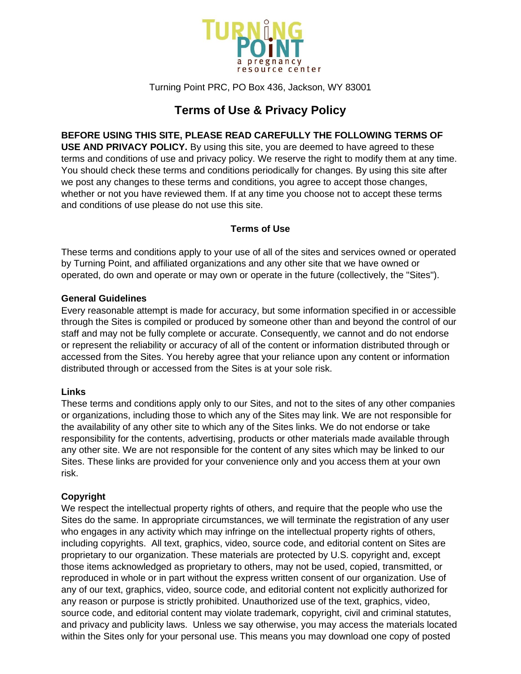

Turning Point PRC, PO Box 436, Jackson, WY 83001

# **Terms of Use & Privacy Policy**

# **BEFORE USING THIS SITE, PLEASE READ CAREFULLY THE FOLLOWING TERMS OF**

**USE AND PRIVACY POLICY.** By using this site, you are deemed to have agreed to these terms and conditions of use and privacy policy. We reserve the right to modify them at any time. You should check these terms and conditions periodically for changes. By using this site after we post any changes to these terms and conditions, you agree to accept those changes, whether or not you have reviewed them. If at any time you choose not to accept these terms and conditions of use please do not use this site.

# **Terms of Use**

These terms and conditions apply to your use of all of the sites and services owned or operated by Turning Point, and affiliated organizations and any other site that we have owned or operated, do own and operate or may own or operate in the future (collectively, the "Sites").

### **General Guidelines**

Every reasonable attempt is made for accuracy, but some information specified in or accessible through the Sites is compiled or produced by someone other than and beyond the control of our staff and may not be fully complete or accurate. Consequently, we cannot and do not endorse or represent the reliability or accuracy of all of the content or information distributed through or accessed from the Sites. You hereby agree that your reliance upon any content or information distributed through or accessed from the Sites is at your sole risk.

# **Links**

These terms and conditions apply only to our Sites, and not to the sites of any other companies or organizations, including those to which any of the Sites may link. We are not responsible for the availability of any other site to which any of the Sites links. We do not endorse or take responsibility for the contents, advertising, products or other materials made available through any other site. We are not responsible for the content of any sites which may be linked to our Sites. These links are provided for your convenience only and you access them at your own risk.

# **Copyright**

We respect the intellectual property rights of others, and require that the people who use the Sites do the same. In appropriate circumstances, we will terminate the registration of any user who engages in any activity which may infringe on the intellectual property rights of others, including copyrights. All text, graphics, video, source code, and editorial content on Sites are proprietary to our organization. These materials are protected by U.S. copyright and, except those items acknowledged as proprietary to others, may not be used, copied, transmitted, or reproduced in whole or in part without the express written consent of our organization. Use of any of our text, graphics, video, source code, and editorial content not explicitly authorized for any reason or purpose is strictly prohibited. Unauthorized use of the text, graphics, video, source code, and editorial content may violate trademark, copyright, civil and criminal statutes, and privacy and publicity laws. Unless we say otherwise, you may access the materials located within the Sites only for your personal use. This means you may download one copy of posted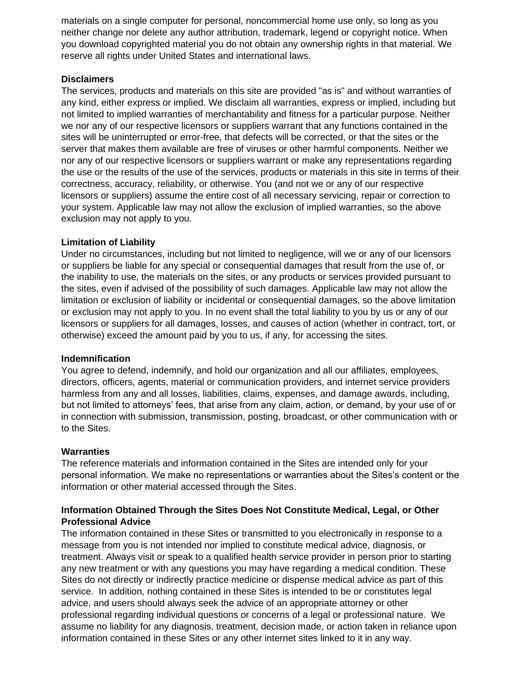materials on a single computer for personal, noncommercial home use only, so long as you neither change nor delete any author attribution, trademark, legend or copyright notice. When you download copyrighted material you do not obtain any ownership rights in that material. We reserve all rights under United States and international laws.

### **Disclaimers**

The services, products and materials on this site are provided "as is" and without warranties of any kind, either express or implied. We disclaim all warranties, express or implied, including but not limited to implied warranties of merchantability and fitness for a particular purpose. Neither we nor any of our respective licensors or suppliers warrant that any functions contained in the sites will be uninterrupted or error-free, that defects will be corrected, or that the sites or the server that makes them available are free of viruses or other harmful components. Neither we nor any of our respective licensors or suppliers warrant or make any representations regarding the use or the results of the use of the services, products or materials in this site in terms of their correctness, accuracy, reliability, or otherwise. You (and not we or any of our respective licensors or suppliers) assume the entire cost of all necessary servicing, repair or correction to your system. Applicable law may not allow the exclusion of implied warranties, so the above exclusion may not apply to you.

### **Limitation of Liability**

Under no circumstances, including but not limited to negligence, will we or any of our licensors or suppliers be liable for any special or consequential damages that result from the use of, or the inability to use, the materials on the sites, or any products or services provided pursuant to the sites, even if advised of the possibility of such damages. Applicable law may not allow the limitation or exclusion of liability or incidental or consequential damages, so the above limitation or exclusion may not apply to you. In no event shall the total liability to you by us or any of our licensors or suppliers for all damages, losses, and causes of action (whether in contract, tort, or otherwise) exceed the amount paid by you to us, if any, for accessing the sites.

#### **Indemnification**

You agree to defend, indemnify, and hold our organization and all our affiliates, employees, directors, officers, agents, material or communication providers, and internet service providers harmless from any and all losses, liabilities, claims, expenses, and damage awards, including, but not limited to attorneys' fees, that arise from any claim, action, or demand, by your use of or in connection with submission, transmission, posting, broadcast, or other communication with or to the Sites.

# **Warranties**

The reference materials and information contained in the Sites are intended only for your personal information. We make no representations or warranties about the Sites's content or the information or other material accessed through the Sites.

# **Information Obtained Through the Sites Does Not Constitute Medical, Legal, or Other Professional Advice**

The information contained in these Sites or transmitted to you electronically in response to a message from you is not intended nor implied to constitute medical advice, diagnosis, or treatment. Always visit or speak to a qualified health service provider in person prior to starting any new treatment or with any questions you may have regarding a medical condition. These Sites do not directly or indirectly practice medicine or dispense medical advice as part of this service. In addition, nothing contained in these Sites is intended to be or constitutes legal advice, and users should always seek the advice of an appropriate attorney or other professional regarding individual questions or concerns of a legal or professional nature. We assume no liability for any diagnosis, treatment, decision made, or action taken in reliance upon information contained in these Sites or any other internet sites linked to it in any way.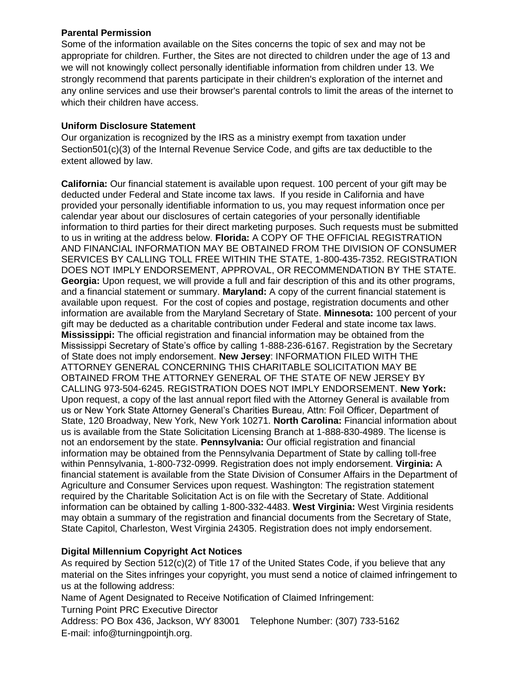### **Parental Permission**

Some of the information available on the Sites concerns the topic of sex and may not be appropriate for children. Further, the Sites are not directed to children under the age of 13 and we will not knowingly collect personally identifiable information from children under 13. We strongly recommend that parents participate in their children's exploration of the internet and any online services and use their browser's parental controls to limit the areas of the internet to which their children have access.

# **Uniform Disclosure Statement**

Our organization is recognized by the IRS as a ministry exempt from taxation under Section501(c)(3) of the Internal Revenue Service Code, and gifts are tax deductible to the extent allowed by law.

**California:** Our financial statement is available upon request. 100 percent of your gift may be deducted under Federal and State income tax laws. If you reside in California and have provided your personally identifiable information to us, you may request information once per calendar year about our disclosures of certain categories of your personally identifiable information to third parties for their direct marketing purposes. Such requests must be submitted to us in writing at the address below. **Florida:** A COPY OF THE OFFICIAL REGISTRATION AND FINANCIAL INFORMATION MAY BE OBTAINED FROM THE DIVISION OF CONSUMER SERVICES BY CALLING TOLL FREE WITHIN THE STATE, 1-800-435-7352. REGISTRATION DOES NOT IMPLY ENDORSEMENT, APPROVAL, OR RECOMMENDATION BY THE STATE. **Georgia:** Upon request, we will provide a full and fair description of this and its other programs, and a financial statement or summary. **Maryland:** A copy of the current financial statement is available upon request. For the cost of copies and postage, registration documents and other information are available from the Maryland Secretary of State. **Minnesota:** 100 percent of your gift may be deducted as a charitable contribution under Federal and state income tax laws. **Mississippi:** The official registration and financial information may be obtained from the Mississippi Secretary of State's office by calling 1-888-236-6167. Registration by the Secretary of State does not imply endorsement. **New Jersey**: INFORMATION FILED WITH THE ATTORNEY GENERAL CONCERNING THIS CHARITABLE SOLICITATION MAY BE OBTAINED FROM THE ATTORNEY GENERAL OF THE STATE OF NEW JERSEY BY CALLING 973-504-6245. REGISTRATION DOES NOT IMPLY ENDORSEMENT. **New York:** Upon request, a copy of the last annual report filed with the Attorney General is available from us or New York State Attorney General's Charities Bureau, Attn: Foil Officer, Department of State, 120 Broadway, New York, New York 10271. **North Carolina:** Financial information about us is available from the State Solicitation Licensing Branch at 1-888-830-4989. The license is not an endorsement by the state. **Pennsylvania:** Our official registration and financial information may be obtained from the Pennsylvania Department of State by calling toll-free within Pennsylvania, 1-800-732-0999. Registration does not imply endorsement. **Virginia:** A financial statement is available from the State Division of Consumer Affairs in the Department of Agriculture and Consumer Services upon request. Washington: The registration statement required by the Charitable Solicitation Act is on file with the Secretary of State. Additional information can be obtained by calling 1-800-332-4483. **West Virginia:** West Virginia residents may obtain a summary of the registration and financial documents from the Secretary of State, State Capitol, Charleston, West Virginia 24305. Registration does not imply endorsement.

# **Digital Millennium Copyright Act Notices**

As required by Section 512(c)(2) of Title 17 of the United States Code, if you believe that any material on the Sites infringes your copyright, you must send a notice of claimed infringement to us at the following address:

Name of Agent Designated to Receive Notification of Claimed Infringement:

Turning Point PRC Executive Director

Address: PO Box 436, Jackson, WY 83001 Telephone Number: (307) 733-5162 E-mail: info@turningpointjh.org.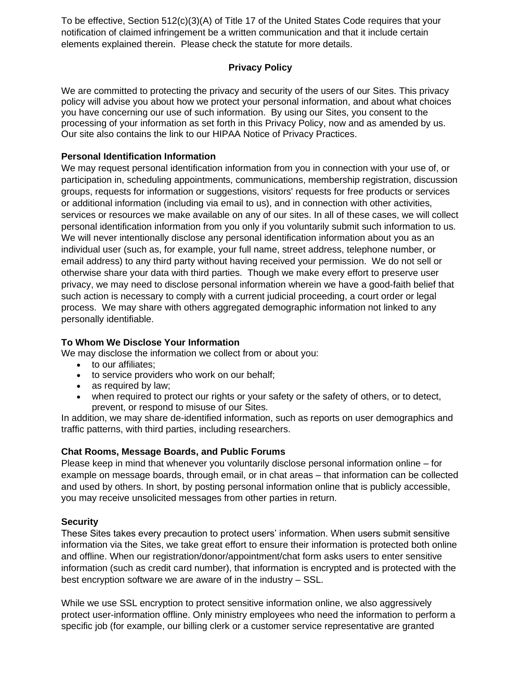To be effective, Section 512(c)(3)(A) of Title 17 of the United States Code requires that your notification of claimed infringement be a written communication and that it include certain elements explained therein. Please check the statute for more details.

# **Privacy Policy**

We are committed to protecting the privacy and security of the users of our Sites. This privacy policy will advise you about how we protect your personal information, and about what choices you have concerning our use of such information. By using our Sites, you consent to the processing of your information as set forth in this Privacy Policy, now and as amended by us. Our site also contains the link to our HIPAA Notice of Privacy Practices.

### **Personal Identification Information**

We may request personal identification information from you in connection with your use of, or participation in, scheduling appointments, communications, membership registration, discussion groups, requests for information or suggestions, visitors' requests for free products or services or additional information (including via email to us), and in connection with other activities, services or resources we make available on any of our sites. In all of these cases, we will collect personal identification information from you only if you voluntarily submit such information to us. We will never intentionally disclose any personal identification information about you as an individual user (such as, for example, your full name, street address, telephone number, or email address) to any third party without having received your permission. We do not sell or otherwise share your data with third parties. Though we make every effort to preserve user privacy, we may need to disclose personal information wherein we have a good-faith belief that such action is necessary to comply with a current judicial proceeding, a court order or legal process. We may share with others aggregated demographic information not linked to any personally identifiable.

### **To Whom We Disclose Your Information**

We may disclose the information we collect from or about you:

- to our affiliates;
- to service providers who work on our behalf;
- as required by law;
- when required to protect our rights or your safety or the safety of others, or to detect, prevent, or respond to misuse of our Sites.

In addition, we may share de-identified information, such as reports on user demographics and traffic patterns, with third parties, including researchers.

#### **Chat Rooms, Message Boards, and Public Forums**

Please keep in mind that whenever you voluntarily disclose personal information online – for example on message boards, through email, or in chat areas – that information can be collected and used by others. In short, by posting personal information online that is publicly accessible, you may receive unsolicited messages from other parties in return.

#### **Security**

These Sites takes every precaution to protect users' information. When users submit sensitive information via the Sites, we take great effort to ensure their information is protected both online and offline. When our registration/donor/appointment/chat form asks users to enter sensitive information (such as credit card number), that information is encrypted and is protected with the best encryption software we are aware of in the industry – SSL.

While we use SSL encryption to protect sensitive information online, we also aggressively protect user-information offline. Only ministry employees who need the information to perform a specific job (for example, our billing clerk or a customer service representative are granted